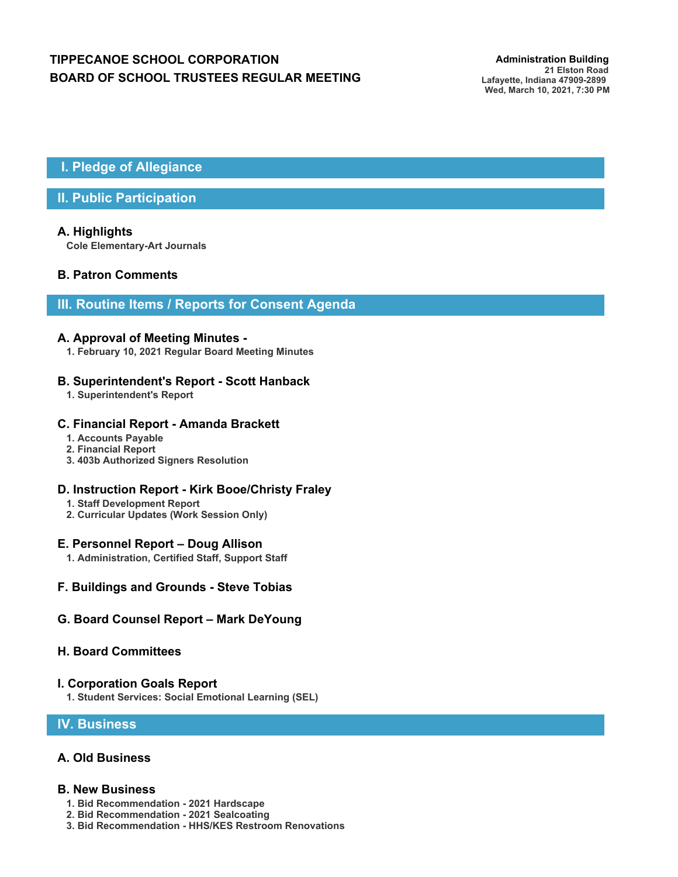# **TIPPECANOE SCHOOL CORPORATION** *Administration Building* **BOARD OF SCHOOL TRUSTEES REGULAR MEETING**

 **I. Pledge of Allegiance**

# **II. Public Participation**

# **A. Highlights**

**Cole Elementary-Art Journals**

# **B. Patron Comments**

# **III. Routine Items / Reports for Consent Agenda**

#### **A. Approval of Meeting Minutes -**

**1. February 10, 2021 Regular Board Meeting Minutes**

#### **B. Superintendent's Report - Scott Hanback**

**1. Superintendent's Report**

#### **C. Financial Report - Amanda Brackett**

- **1. Accounts Payable**
- **2. Financial Report**
- **3. 403b Authorized Signers Resolution**

#### **D. Instruction Report - Kirk Booe/Christy Fraley**

- **1. Staff Development Report**
- **2. Curricular Updates (Work Session Only)**

#### **E. Personnel Report – Doug Allison**

**1. Administration, Certified Staff, Support Staff**

#### **F. Buildings and Grounds - Steve Tobias**

#### **G. Board Counsel Report – Mark DeYoung**

#### **H. Board Committees**

#### **I. Corporation Goals Report**

**1. Student Services: Social Emotional Learning (SEL)**

### **IV. Business**

#### **A. Old Business**

#### **B. New Business**

- **1. Bid Recommendation 2021 Hardscape**
- **2. Bid Recommendation 2021 Sealcoating**
- **3. Bid Recommendation HHS/KES Restroom Renovations**